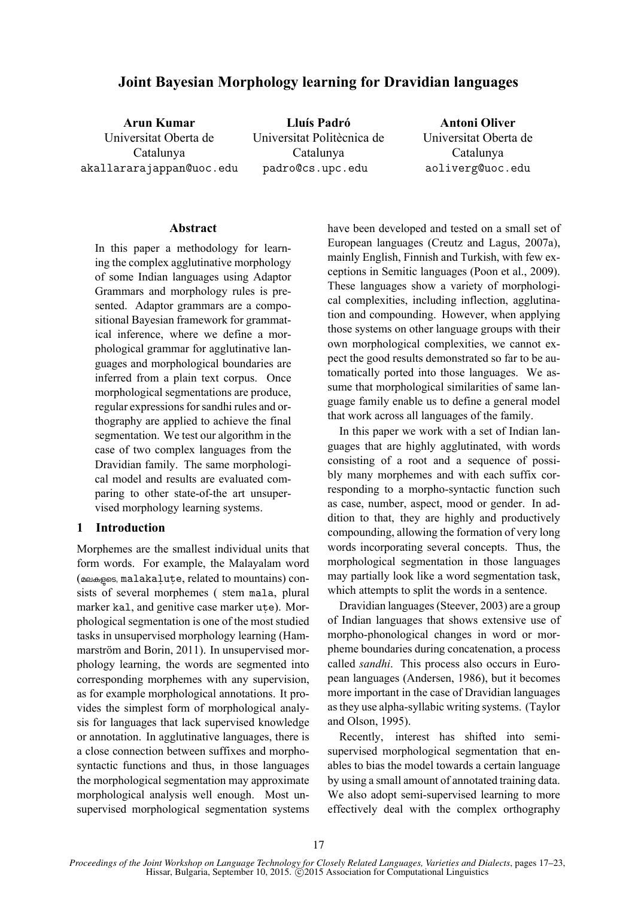# **Joint Bayesian Morphology learning for Dravidian languages**

**Arun Kumar** Universitat Oberta de Catalunya akallararajappan@uoc.edu

**Lluís Padró** Universitat Politècnica de Catalunya padro@cs.upc.edu

**Antoni Oliver** Universitat Oberta de Catalunya aoliverg@uoc.edu

### **Abstract**

In this paper a methodology for learning the complex agglutinative morphology of some Indian languages using Adaptor Grammars and morphology rules is presented. Adaptor grammars are a compositional Bayesian framework for grammatical inference, where we define a morphological grammar for agglutinative languages and morphological boundaries are inferred from a plain text corpus. Once morphological segmentations are produce, regular expressions for sandhi rules and orthography are applied to achieve the final segmentation. We test our algorithm in the case of two complex languages from the Dravidian family. The same morphological model and results are evaluated comparing to other state-of-the art unsupervised morphology learning systems.

## **1 Introduction**

Morphemes are the smallest individual units that form words. For example, the Malayalam word (മലകളടെ, malakalute, related to mountains) consists of several morphemes ( stem mala, plural marker kal, and genitive case marker ute). Morphological segmentation is one of the most studied tasks in unsupervised morphology learning (Hammarström and Borin, 2011). In unsupervised morphology learning, the words are segmented into corresponding morphemes with any supervision, as for example morphological annotations. It provides the simplest form of morphological analysis for languages that lack supervised knowledge or annotation. In agglutinative languages, there is a close connection between suffixes and morphosyntactic functions and thus, in those languages the morphological segmentation may approximate morphological analysis well enough. Most unsupervised morphological segmentation systems have been developed and tested on a small set of European languages (Creutz and Lagus, 2007a), mainly English, Finnish and Turkish, with few exceptions in Semitic languages (Poon et al., 2009). These languages show a variety of morphological complexities, including inflection, agglutination and compounding. However, when applying those systems on other language groups with their own morphological complexities, we cannot expect the good results demonstrated so far to be automatically ported into those languages. We assume that morphological similarities of same language family enable us to define a general model that work across all languages of the family.

In this paper we work with a set of Indian languages that are highly agglutinated, with words consisting of a root and a sequence of possibly many morphemes and with each suffix corresponding to a morpho-syntactic function such as case, number, aspect, mood or gender. In addition to that, they are highly and productively compounding, allowing the formation of very long words incorporating several concepts. Thus, the morphological segmentation in those languages may partially look like a word segmentation task, which attempts to split the words in a sentence.

Dravidian languages (Steever, 2003) are a group of Indian languages that shows extensive use of morpho-phonological changes in word or morpheme boundaries during concatenation, a process called *sandhi*. This process also occurs in European languages (Andersen, 1986), but it becomes more important in the case of Dravidian languages as they use alpha-syllabic writing systems. (Taylor and Olson, 1995).

Recently, interest has shifted into semisupervised morphological segmentation that enables to bias the model towards a certain language by using a small amount of annotated training data. We also adopt semi-supervised learning to more effectively deal with the complex orthography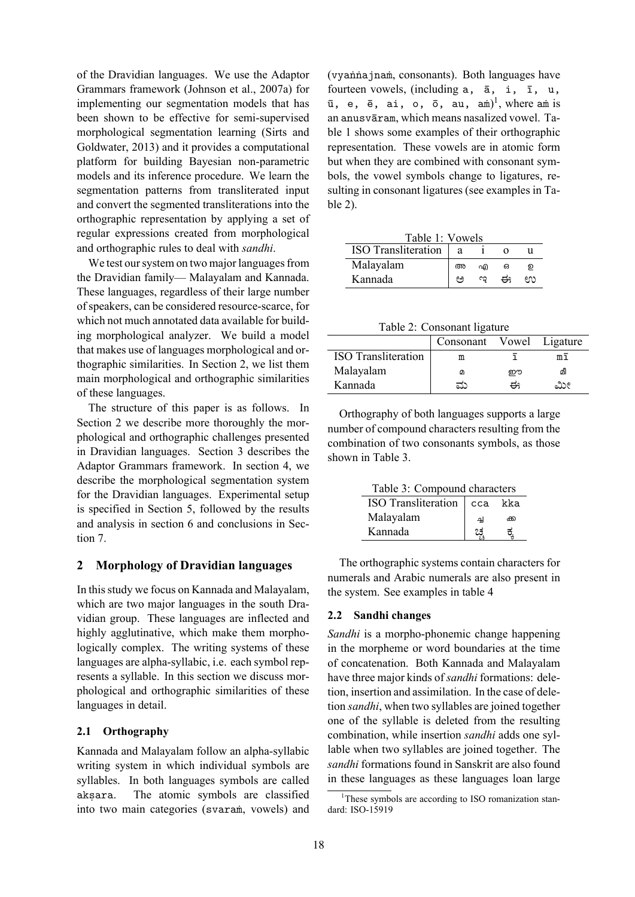of the Dravidian languages. We use the Adaptor Grammars framework (Johnson et al., 2007a) for implementing our segmentation models that has been shown to be effective for semi-supervised morphological segmentation learning (Sirts and Goldwater, 2013) and it provides a computational platform for building Bayesian non-parametric models and its inference procedure. We learn the segmentation patterns from transliterated input and convert the segmented transliterations into the orthographic representation by applying a set of regular expressions created from morphological and orthographic rules to deal with *sandhi*.

We test our system on two major languages from the Dravidian family— Malayalam and Kannada. These languages, regardless of their large number of speakers, can be considered resource-scarce, for which not much annotated data available for building morphological analyzer. We build a model that makes use of languages morphological and orthographic similarities. In Section 2, we list them main morphological and orthographic similarities of these languages.

The structure of this paper is as follows. In Section 2 we describe more thoroughly the morphological and orthographic challenges presented in Dravidian languages. Section 3 describes the Adaptor Grammars framework. In section 4, we describe the morphological segmentation system for the Dravidian languages. Experimental setup is specified in Section 5, followed by the results and analysis in section 6 and conclusions in Section 7.

## **2 Morphology of Dravidian languages**

In this study we focus on Kannada and Malayalam, which are two major languages in the south Dravidian group. These languages are inflected and highly agglutinative, which make them morphologically complex. The writing systems of these languages are alpha-syllabic, i.e. each symbol represents a syllable. In this section we discuss morphological and orthographic similarities of these languages in detail.

### **2.1 Orthography**

Kannada and Malayalam follow an alpha-syllabic writing system in which individual symbols are syllables. In both languages symbols are called aksara. The atomic symbols are classified into two main categories (svaraṁ, vowels) and (vyaṅṅajnaṁ, consonants). Both languages have fourteen vowels, (including a, ā, i, ī, u,  $\bar{u}$ , e,  $\bar{e}$ , ai, o,  $\bar{o}$ , au, am $)^{1}$ , where am is an anusvāram, which means nasalized vowel. Table 1 shows some examples of their orthographic representation. These vowels are in atomic form but when they are combined with consonant symbols, the vowel symbols change to ligatures, resulting in consonant ligatures (see examples in Table 2).

| Table 1: Vowels     |    |   |   |     |
|---------------------|----|---|---|-----|
| ISO Transliteration | а  |   |   |     |
| Malayalam           | അ  | എ | ഒ | ൭   |
| Kannada             | مم | ణ | ಈ | enn |

Table 2: Consonant ligature

|                            | Consonant Vowel Ligature |   |    |
|----------------------------|--------------------------|---|----|
| <b>ISO</b> Transliteration | m                        |   | mī |
| Malayalam                  | Ø                        | ഈ | മീ |
| Kannada                    | ಮ                        | ಈ | ಮೀ |

Orthography of both languages supports a large number of compound characters resulting from the combination of two consonants symbols, as those shown in Table 3.

Table 3: Compound characters

| ISO Transliteration | l cca | kka |
|---------------------|-------|-----|
| Malayalam           | ച്ച   | ക്ക |
| Kannada             |       |     |

The orthographic systems contain characters for numerals and Arabic numerals are also present in the system. See examples in table 4

## **2.2 Sandhi changes**

*Sandhi* is a morpho-phonemic change happening in the morpheme or word boundaries at the time of concatenation. Both Kannada and Malayalam have three major kinds of *sandhi* formations: deletion, insertion and assimilation. In the case of deletion *sandhi*, when two syllables are joined together one of the syllable is deleted from the resulting combination, while insertion *sandhi* adds one syllable when two syllables are joined together. The *sandhi* formations found in Sanskrit are also found in these languages as these languages loan large

<sup>&</sup>lt;sup>1</sup>These symbols are according to ISO romanization standard: ISO-15919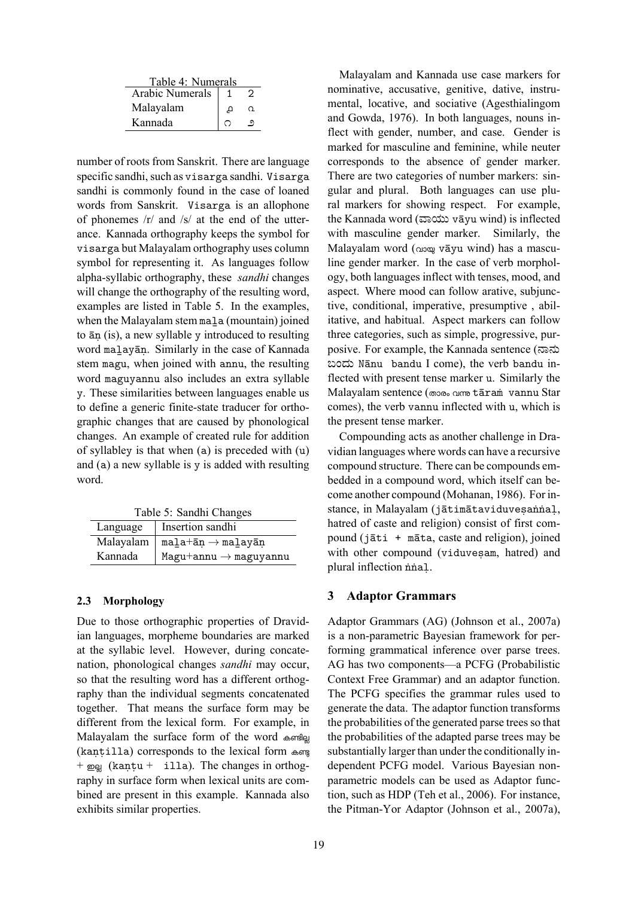| Table 4: Numerals |   |   |  |  |
|-------------------|---|---|--|--|
| Arabic Numerals   |   |   |  |  |
| Malayalam         | д | ൨ |  |  |
| Kannada           |   |   |  |  |

number of roots from Sanskrit. There are language specific sandhi, such as visarga sandhi. Visarga sandhi is commonly found in the case of loaned words from Sanskrit. Visarga is an allophone of phonemes /r/ and /s/ at the end of the utterance. Kannada orthography keeps the symbol for visarga but Malayalam orthography uses column symbol for representing it. As languages follow alpha-syllabic orthography, these *sandhi* changes will change the orthography of the resulting word, examples are listed in Table 5. In the examples, when the Malayalam stem mala (mountain) joined to āṇ (is), a new syllable y introduced to resulting word maḻayāṇ. Similarly in the case of Kannada stem magu, when joined with annu, the resulting word maguyannu also includes an extra syllable y. These similarities between languages enable us to define a generic finite-state traducer for orthographic changes that are caused by phonological changes. An example of created rule for addition of syllabley is that when (a) is preceded with (u) and (a) a new syllable is y is added with resulting word.

| Table 5: Sandhi Changes      |                                          |  |  |
|------------------------------|------------------------------------------|--|--|
| Insertion sandhi<br>Language |                                          |  |  |
| Malayalam                    | $m$ ala $+\bar{a}n \rightarrow m$ alayān |  |  |
| Kannada                      | $Magu+annu \rightarrow maguyannu$        |  |  |

### **2.3 Morphology**

Due to those orthographic properties of Dravidian languages, morpheme boundaries are marked at the syllabic level. However, during concatenation, phonological changes *sandhi* may occur, so that the resulting word has a different orthography than the individual segments concatenated together. That means the surface form may be different from the lexical form. For example, in Malayalam the surface form of the word കണ്ടില്ല (kantilla) corresponds to the lexical form കണ്ട  $+$  pog (kantu + illa). The changes in orthography in surface form when lexical units are combined are present in this example. Kannada also exhibits similar properties.

Malayalam and Kannada use case markers for nominative, accusative, genitive, dative, instrumental, locative, and sociative (Agesthialingom and Gowda, 1976). In both languages, nouns inflect with gender, number, and case. Gender is marked for masculine and feminine, while neuter corresponds to the absence of gender marker. There are two categories of number markers: singular and plural. Both languages can use plural markers for showing respect. For example, the Kannada word (�ಾಯು vāyu wind) is inflected with masculine gender marker. Similarly, the Malayalam word (പായ vāyu wind) has a masculine gender marker. In the case of verb morphology, both languages inflect with tenses, mood, and aspect. Where mood can follow arative, subjunctive, conditional, imperative, presumptive , abilitative, and habitual. Aspect markers can follow three categories, such as simple, progressive, purposive. For example, the Kannada sentence (�ಾನು ಬಂದು Nānu bandu I come), the verb bandu inflected with present tense marker u. Similarly the Malayalam sentence (താരം വന്ത tāram vannu Star comes), the verb vannu inflected with u, which is the present tense marker.

Compounding acts as another challenge in Dravidian languages where words can have a recursive compound structure. There can be compounds embedded in a compound word, which itself can become another compound (Mohanan, 1986). For instance, in Malayalam (jātimātaviduvesaṅṅal, hatred of caste and religion) consist of first compound (jāti + māta, caste and religion), joined with other compound (viduvesam, hatred) and plural inflection ṅṅaḷ.

### **3 Adaptor Grammars**

Adaptor Grammars (AG) (Johnson et al., 2007a) is a non-parametric Bayesian framework for performing grammatical inference over parse trees. AG has two components—a PCFG (Probabilistic Context Free Grammar) and an adaptor function. The PCFG specifies the grammar rules used to generate the data. The adaptor function transforms the probabilities of the generated parse trees so that the probabilities of the adapted parse trees may be substantially larger than under the conditionally independent PCFG model. Various Bayesian nonparametric models can be used as Adaptor function, such as HDP (Teh et al., 2006). For instance, the Pitman-Yor Adaptor (Johnson et al., 2007a),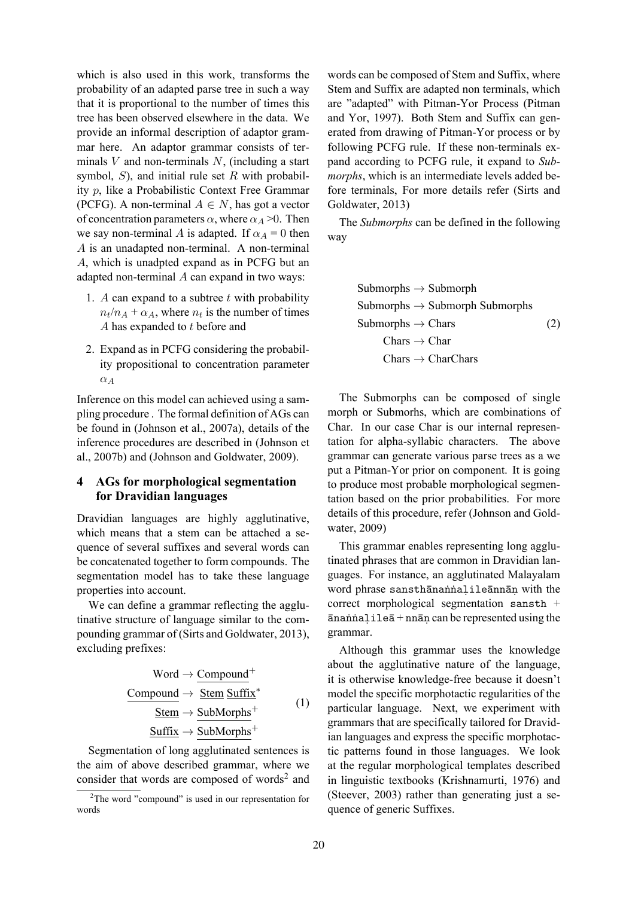which is also used in this work, transforms the probability of an adapted parse tree in such a way that it is proportional to the number of times this tree has been observed elsewhere in the data. We provide an informal description of adaptor grammar here. An adaptor grammar consists of terminals  $V$  and non-terminals  $N$ , (including a start symbol,  $S$ ), and initial rule set  $R$  with probability p, like a Probabilistic Context Free Grammar (PCFG). A non-terminal  $A \in N$ , has got a vector of concentration parameters  $\alpha$ , where  $\alpha_A > 0$ . Then we say non-terminal A is adapted. If  $\alpha_A = 0$  then A is an unadapted non-terminal. A non-terminal A, which is unadpted expand as in PCFG but an adapted non-terminal A can expand in two ways:

- 1. A can expand to a subtree  $t$  with probability  $n_t/n_A + \alpha_A$ , where  $n_t$  is the number of times A has expanded to t before and
- 2. Expand as in PCFG considering the probability propositional to concentration parameter  $\alpha_A$

Inference on this model can achieved using a sampling procedure . The formal definition of AGs can be found in (Johnson et al., 2007a), details of the inference procedures are described in (Johnson et al., 2007b) and (Johnson and Goldwater, 2009).

## **4 AGs for morphological segmentation for Dravidian languages**

Dravidian languages are highly agglutinative, which means that a stem can be attached a sequence of several suffixes and several words can be concatenated together to form compounds. The segmentation model has to take these language properties into account.

We can define a grammar reflecting the agglutinative structure of language similar to the compounding grammar of (Sirts and Goldwater, 2013), excluding prefixes:

$$
Word \rightarrow \underline{Compound}^{+}
$$
\n
$$
\underline{Commonoud} \rightarrow \underline{Stem} \underline{Suffix}^{*}
$$
\n
$$
\underline{Stem} \rightarrow \underline{SubMorphs}^{+}
$$
\n
$$
\underline{Suffix} \rightarrow \underline{SubMorphs}^{+}
$$
\n(1)

Segmentation of long agglutinated sentences is the aim of above described grammar, where we consider that words are composed of words<sup>2</sup> and

words can be composed of Stem and Suffix, where Stem and Suffix are adapted non terminals, which are "adapted" with Pitman-Yor Process (Pitman and Yor, 1997). Both Stem and Suffix can generated from drawing of Pitman-Yor process or by following PCFG rule. If these non-terminals expand according to PCFG rule, it expand to *Submorphs*, which is an intermediate levels added before terminals, For more details refer (Sirts and Goldwater, 2013)

The *Submorphs* can be defined in the following way

> $Submorphs \rightarrow Submorph$  $Submorphs \rightarrow Submorph$  Submorphs Submorphs  $\rightarrow$  Chars  $Chars \rightarrow Char$  $Chars \rightarrow CharChars$ (2)

The Submorphs can be composed of single morph or Submorhs, which are combinations of Char. In our case Char is our internal representation for alpha-syllabic characters. The above grammar can generate various parse trees as a we put a Pitman-Yor prior on component. It is going to produce most probable morphological segmentation based on the prior probabilities. For more details of this procedure, refer (Johnson and Goldwater, 2009)

This grammar enables representing long agglutinated phrases that are common in Dravidian languages. For instance, an agglutinated Malayalam word phrase sansthānaṅṅaḷileānnāṇ with the correct morphological segmentation sansth + ānaṅṅaḷileā + nnāṇ can be represented using the grammar.

Although this grammar uses the knowledge about the agglutinative nature of the language, it is otherwise knowledge-free because it doesn't model the specific morphotactic regularities of the particular language. Next, we experiment with grammars that are specifically tailored for Dravidian languages and express the specific morphotactic patterns found in those languages. We look at the regular morphological templates described in linguistic textbooks (Krishnamurti, 1976) and (Steever, 2003) rather than generating just a sequence of generic Suffixes.

<sup>&</sup>lt;sup>2</sup>The word "compound" is used in our representation for words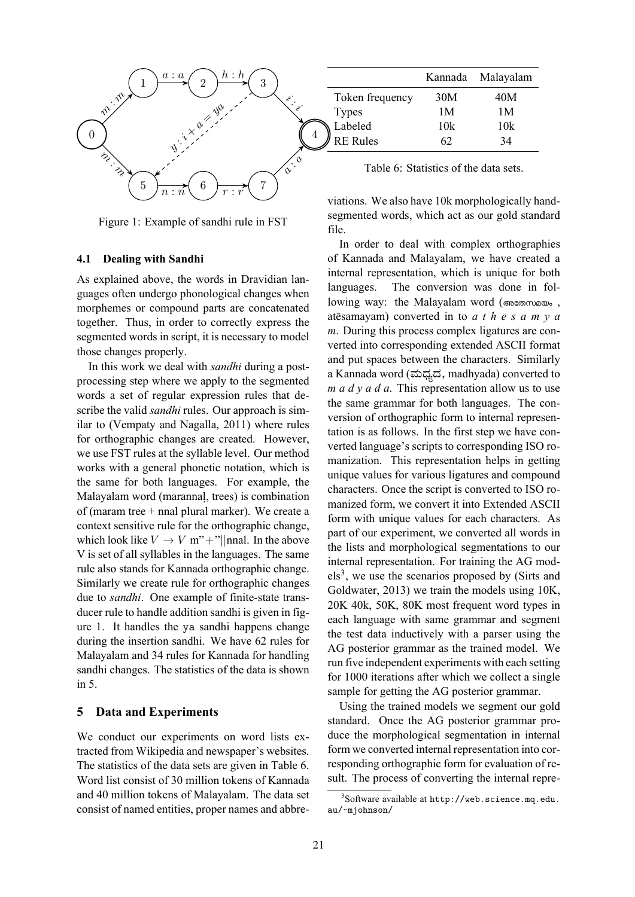

Figure 1: Example of sandhi rule in FST

#### **4.1 Dealing with Sandhi**

As explained above, the words in Dravidian languages often undergo phonological changes when morphemes or compound parts are concatenated together. Thus, in order to correctly express the segmented words in script, it is necessary to model those changes properly.

In this work we deal with *sandhi* during a postprocessing step where we apply to the segmented words a set of regular expression rules that describe the valid *sandhi* rules. Our approach is similar to (Vempaty and Nagalla, 2011) where rules for orthographic changes are created. However, we use FST rules at the syllable level. Our method works with a general phonetic notation, which is the same for both languages. For example, the Malayalam word (marannal, trees) is combination of (maram tree + nnal plural marker). We create a context sensitive rule for the orthographic change, which look like  $V \to V$  m"+"||nnal. In the above V is set of all syllables in the languages. The same rule also stands for Kannada orthographic change. Similarly we create rule for orthographic changes due to *sandhi*. One example of finite-state transducer rule to handle addition sandhi is given in figure 1. It handles the ya sandhi happens change during the insertion sandhi. We have 62 rules for Malayalam and 34 rules for Kannada for handling sandhi changes. The statistics of the data is shown in 5.

#### **5 Data and Experiments**

We conduct our experiments on word lists extracted from Wikipedia and newspaper's websites. The statistics of the data sets are given in Table 6. Word list consist of 30 million tokens of Kannada and 40 million tokens of Malayalam. The data set consist of named entities, proper names and abbre-

|                 |                 | Kannada | Malayalam |
|-----------------|-----------------|---------|-----------|
|                 | Token frequency | 30M     | 40M       |
| <b>Types</b>    |                 | 1 M     | 1 M       |
| Labeled         |                 | 10k     | 10k       |
| <b>RE</b> Rules |                 | 62      | 34        |

Table 6: Statistics of the data sets.

viations. We also have 10k morphologically handsegmented words, which act as our gold standard file.

In order to deal with complex orthographies of Kannada and Malayalam, we have created a internal representation, which is unique for both languages. The conversion was done in following way: the Malayalam word (അേതസമയം , atēsamayam) converted in to *a t h e s a m y a m*. During this process complex ligatures are converted into corresponding extended ASCII format and put spaces between the characters. Similarly a Kannada word (ಮಧ್ಯದ, madhyada) converted to *m a d y a d a*. This representation allow us to use the same grammar for both languages. The conversion of orthographic form to internal representation is as follows. In the first step we have converted language's scripts to corresponding ISO romanization. This representation helps in getting unique values for various ligatures and compound characters. Once the script is converted to ISO romanized form, we convert it into Extended ASCII form with unique values for each characters. As part of our experiment, we converted all words in the lists and morphological segmentations to our internal representation. For training the AG mod $els<sup>3</sup>$ , we use the scenarios proposed by (Sirts and Goldwater, 2013) we train the models using 10K, 20K 40k, 50K, 80K most frequent word types in each language with same grammar and segment the test data inductively with a parser using the AG posterior grammar as the trained model. We run five independent experiments with each setting for 1000 iterations after which we collect a single sample for getting the AG posterior grammar.

Using the trained models we segment our gold standard. Once the AG posterior grammar produce the morphological segmentation in internal form we converted internal representation into corresponding orthographic form for evaluation of result. The process of converting the internal repre-

<sup>3</sup> Software available at http://web.science.mq.edu. au/~mjohnson/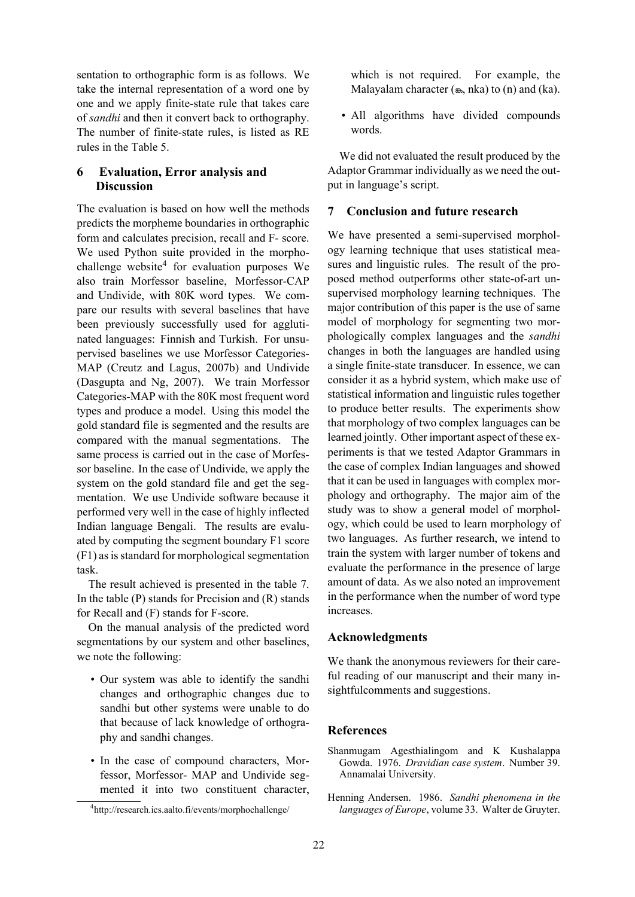sentation to orthographic form is as follows. We take the internal representation of a word one by one and we apply finite-state rule that takes care of *sandhi* and then it convert back to orthography. The number of finite-state rules, is listed as RE rules in the Table 5.

## **6 Evaluation, Error analysis and Discussion**

The evaluation is based on how well the methods predicts the morpheme boundaries in orthographic form and calculates precision, recall and F- score. We used Python suite provided in the morphochallenge website<sup>4</sup> for evaluation purposes We also train Morfessor baseline, Morfessor-CAP and Undivide, with 80K word types. We compare our results with several baselines that have been previously successfully used for agglutinated languages: Finnish and Turkish. For unsupervised baselines we use Morfessor Categories-MAP (Creutz and Lagus, 2007b) and Undivide (Dasgupta and Ng, 2007). We train Morfessor Categories-MAP with the 80K most frequent word types and produce a model. Using this model the gold standard file is segmented and the results are compared with the manual segmentations. The same process is carried out in the case of Morfessor baseline. In the case of Undivide, we apply the system on the gold standard file and get the segmentation. We use Undivide software because it performed very well in the case of highly inflected Indian language Bengali. The results are evaluated by computing the segment boundary F1 score (F1) as is standard for morphological segmentation task.

The result achieved is presented in the table 7. In the table  $(P)$  stands for Precision and  $(R)$  stands for Recall and (F) stands for F-score.

On the manual analysis of the predicted word segmentations by our system and other baselines, we note the following:

- Our system was able to identify the sandhi changes and orthographic changes due to sandhi but other systems were unable to do that because of lack knowledge of orthography and sandhi changes.
- In the case of compound characters, Morfessor, Morfessor- MAP and Undivide segmented it into two constituent character,

which is not required. For example, the Malayalam character  $(\omega, \text{ nka})$  to  $(\text{ n})$  and  $(\text{ ka})$ .

• All algorithms have divided compounds words.

We did not evaluated the result produced by the Adaptor Grammar individually as we need the output in language's script.

## **7 Conclusion and future research**

We have presented a semi-supervised morphology learning technique that uses statistical measures and linguistic rules. The result of the proposed method outperforms other state-of-art unsupervised morphology learning techniques. The major contribution of this paper is the use of same model of morphology for segmenting two morphologically complex languages and the *sandhi* changes in both the languages are handled using a single finite-state transducer. In essence, we can consider it as a hybrid system, which make use of statistical information and linguistic rules together to produce better results. The experiments show that morphology of two complex languages can be learned jointly. Other important aspect of these experiments is that we tested Adaptor Grammars in the case of complex Indian languages and showed that it can be used in languages with complex morphology and orthography. The major aim of the study was to show a general model of morphology, which could be used to learn morphology of two languages. As further research, we intend to train the system with larger number of tokens and evaluate the performance in the presence of large amount of data. As we also noted an improvement in the performance when the number of word type increases.

#### **Acknowledgments**

We thank the anonymous reviewers for their careful reading of our manuscript and their many insightfulcomments and suggestions.

### **References**

- Shanmugam Agesthialingom and K Kushalappa Gowda. 1976. *Dravidian case system*. Number 39. Annamalai University.
- Henning Andersen. 1986. *Sandhi phenomena in the languages of Europe*, volume 33. Walter de Gruyter.

<sup>4</sup> http://research.ics.aalto.fi/events/morphochallenge/